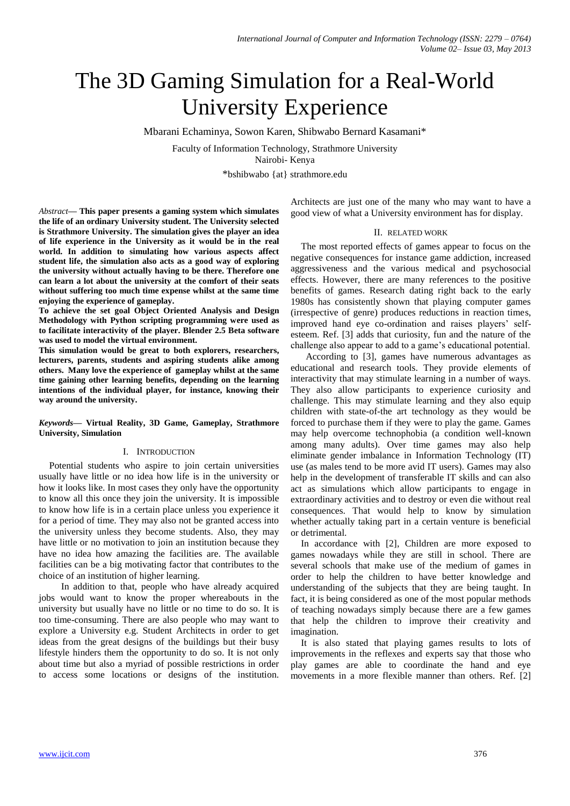# The 3D Gaming Simulation for a Real-World University Experience

Mbarani Echaminya, Sowon Karen, Shibwabo Bernard Kasamani\*

Faculty of Information Technology, Strathmore University Nairobi- Kenya

\*bshibwabo {at} strathmore.edu

*Abstract***— This paper presents a gaming system which simulates the life of an ordinary University student. The University selected is Strathmore University. The simulation gives the player an idea of life experience in the University as it would be in the real world. In addition to simulating how various aspects affect student life, the simulation also acts as a good way of exploring the university without actually having to be there. Therefore one can learn a lot about the university at the comfort of their seats without suffering too much time expense whilst at the same time enjoying the experience of gameplay.**

**To achieve the set goal Object Oriented Analysis and Design Methodology with Python scripting programming were used as to facilitate interactivity of the player. Blender 2.5 Beta software was used to model the virtual environment.** 

**This simulation would be great to both explorers, researchers, lecturers, parents, students and aspiring students alike among others. Many love the experience of gameplay whilst at the same time gaining other learning benefits, depending on the learning intentions of the individual player, for instance, knowing their way around the university.**

*Keywords***— Virtual Reality, 3D Game, Gameplay, Strathmore University, Simulation**

## I. INTRODUCTION

Potential students who aspire to join certain universities usually have little or no idea how life is in the university or how it looks like. In most cases they only have the opportunity to know all this once they join the university. It is impossible to know how life is in a certain place unless you experience it for a period of time. They may also not be granted access into the university unless they become students. Also, they may have little or no motivation to join an institution because they have no idea how amazing the facilities are. The available facilities can be a big motivating factor that contributes to the choice of an institution of higher learning.

 In addition to that, people who have already acquired jobs would want to know the proper whereabouts in the university but usually have no little or no time to do so. It is too time-consuming. There are also people who may want to explore a University e.g. Student Architects in order to get ideas from the great designs of the buildings but their busy lifestyle hinders them the opportunity to do so. It is not only about time but also a myriad of possible restrictions in order to access some locations or designs of the institution. Architects are just one of the many who may want to have a good view of what a University environment has for display.

#### II. RELATED WORK

The most reported effects of games appear to focus on the negative consequences for instance game addiction, increased aggressiveness and the various medical and psychosocial effects. However, there are many references to the positive benefits of games. Research dating right back to the early 1980s has consistently shown that playing computer games (irrespective of genre) produces reductions in reaction times, improved hand eye co-ordination and raises players' selfesteem. Ref. [3] adds that curiosity, fun and the nature of the challenge also appear to add to a game's educational potential.

 According to [3], games have numerous advantages as educational and research tools. They provide elements of interactivity that may stimulate learning in a number of ways. They also allow participants to experience curiosity and challenge. This may stimulate learning and they also equip children with state-of-the art technology as they would be forced to purchase them if they were to play the game. Games may help overcome technophobia (a condition well-known among many adults). Over time games may also help eliminate gender imbalance in Information Technology (IT) use (as males tend to be more avid IT users). Games may also help in the development of transferable IT skills and can also act as simulations which allow participants to engage in extraordinary activities and to destroy or even die without real consequences. That would help to know by simulation whether actually taking part in a certain venture is beneficial or detrimental.

In accordance with [2], Children are more exposed to games nowadays while they are still in school. There are several schools that make use of the medium of games in order to help the children to have better knowledge and understanding of the subjects that they are being taught. In fact, it is being considered as one of the most popular methods of teaching nowadays simply because there are a few games that help the children to improve their creativity and imagination.

It is also stated that playing games results to lots of improvements in the reflexes and experts say that those who play games are able to coordinate the hand and eye movements in a more flexible manner than others. Ref. [2]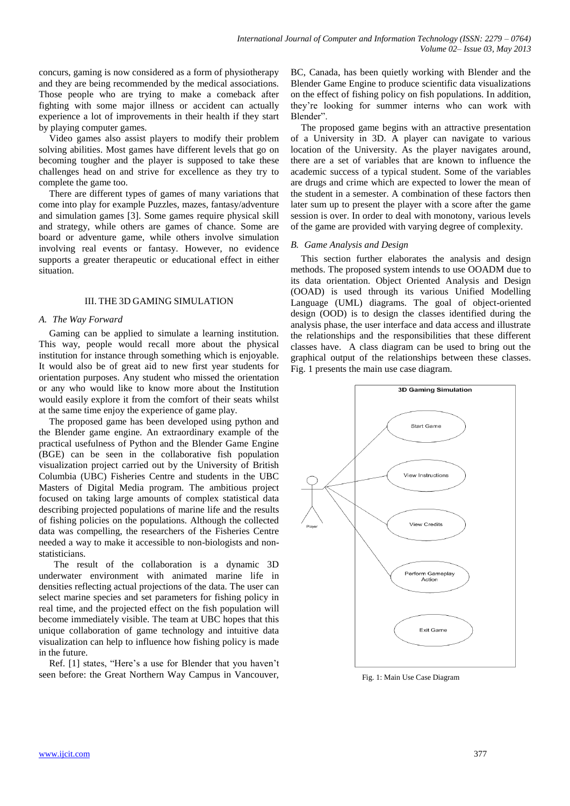concurs, gaming is now considered as a form of physiotherapy and they are being recommended by the medical associations. Those people who are trying to make a comeback after fighting with some major illness or accident can actually experience a lot of improvements in their health if they start by playing computer games.

Video games also assist players to modify their problem solving abilities. Most games have different levels that go on becoming tougher and the player is supposed to take these challenges head on and strive for excellence as they try to complete the game too.

There are different types of games of many variations that come into play for example Puzzles, mazes, fantasy/adventure and simulation games [3]. Some games require physical skill and strategy, while others are games of chance. Some are board or adventure game, while others involve simulation involving real events or fantasy. However, no evidence supports a greater therapeutic or educational effect in either situation.

# III. THE 3D GAMING SIMULATION

# *A. The Way Forward*

Gaming can be applied to simulate a learning institution. This way, people would recall more about the physical institution for instance through something which is enjoyable. It would also be of great aid to new first year students for orientation purposes. Any student who missed the orientation or any who would like to know more about the Institution would easily explore it from the comfort of their seats whilst at the same time enjoy the experience of game play.

The proposed game has been developed using python and the Blender game engine. An extraordinary example of the practical usefulness of Python and the Blender Game Engine (BGE) can be seen in the collaborative fish population visualization project carried out by the University of British Columbia (UBC) Fisheries Centre and students in the UBC Masters of Digital Media program. The ambitious project focused on taking large amounts of complex statistical data describing projected populations of marine life and the results of fishing policies on the populations. Although the collected data was compelling, the researchers of the Fisheries Centre needed a way to make it accessible to non-biologists and nonstatisticians.

 The result of the collaboration is a dynamic 3D underwater environment with animated marine life in densities reflecting actual projections of the data. The user can select marine species and set parameters for fishing policy in real time, and the projected effect on the fish population will become immediately visible. The team at UBC hopes that this unique collaboration of game technology and intuitive data visualization can help to influence how fishing policy is made in the future.

Ref. [1] states, "Here's a use for Blender that you haven't seen before: the Great Northern Way Campus in Vancouver,

BC, Canada, has been quietly working with Blender and the Blender Game Engine to produce scientific data visualizations on the effect of fishing policy on fish populations. In addition, they're looking for summer interns who can work with Blender".

The proposed game begins with an attractive presentation of a University in 3D. A player can navigate to various location of the University. As the player navigates around, there are a set of variables that are known to influence the academic success of a typical student. Some of the variables are drugs and crime which are expected to lower the mean of the student in a semester. A combination of these factors then later sum up to present the player with a score after the game session is over. In order to deal with monotony, various levels of the game are provided with varying degree of complexity.

# *B. Game Analysis and Design*

This section further elaborates the analysis and design methods. The proposed system intends to use OOADM due to its data orientation. Object Oriented Analysis and Design (OOAD) is used through its various Unified Modelling Language (UML) diagrams. The goal of object-oriented design (OOD) is to design the classes identified during the analysis phase, the user interface and data access and illustrate the relationships and the responsibilities that these different classes have. A class diagram can be used to bring out the graphical output of the relationships between these classes. Fig. 1 presents the main use case diagram.



Fig. 1: Main Use Case Diagram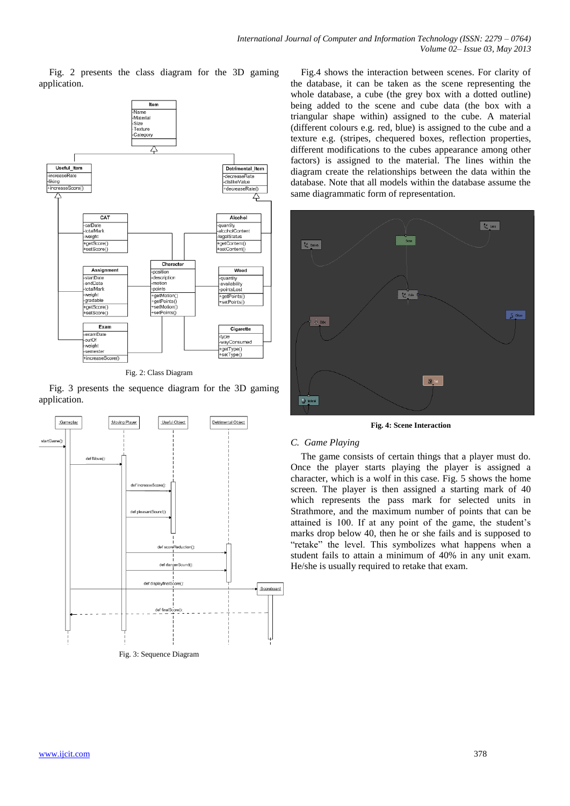Fig. 2 presents the class diagram for the 3D gaming application.



Fig. 2: Class Diagram

Fig. 3 presents the sequence diagram for the 3D gaming application.



Fig.4 shows the interaction between scenes. For clarity of the database, it can be taken as the scene representing the whole database, a cube (the grey box with a dotted outline) being added to the scene and cube data (the box with a triangular shape within) assigned to the cube. A material (different colours e.g. red, blue) is assigned to the cube and a texture e.g. (stripes, chequered boxes, reflection properties, different modifications to the cubes appearance among other factors) is assigned to the material. The lines within the diagram create the relationships between the data within the database. Note that all models within the database assume the same diagrammatic form of representation.



**Fig. 4: Scene Interaction**

# *C. Game Playing*

The game consists of certain things that a player must do. Once the player starts playing the player is assigned a character, which is a wolf in this case. Fig. 5 shows the home screen. The player is then assigned a starting mark of 40 which represents the pass mark for selected units in Strathmore, and the maximum number of points that can be attained is 100. If at any point of the game, the student's marks drop below 40, then he or she fails and is supposed to "retake" the level. This symbolizes what happens when a student fails to attain a minimum of 40% in any unit exam. He/she is usually required to retake that exam.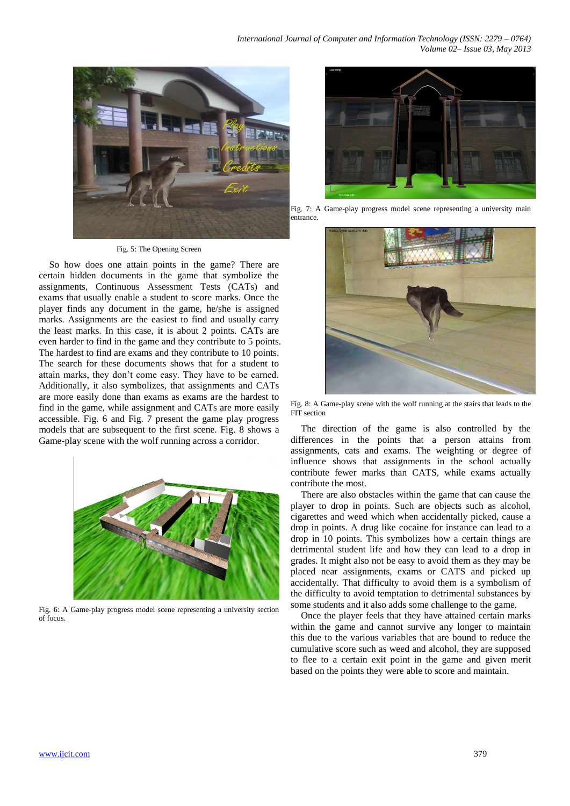

#### Fig. 5: The Opening Screen

So how does one attain points in the game? There are certain hidden documents in the game that symbolize the assignments, Continuous Assessment Tests (CATs) and exams that usually enable a student to score marks. Once the player finds any document in the game, he/she is assigned marks. Assignments are the easiest to find and usually carry the least marks. In this case, it is about 2 points. CATs are even harder to find in the game and they contribute to 5 points. The hardest to find are exams and they contribute to 10 points. The search for these documents shows that for a student to attain marks, they don't come easy. They have to be earned. Additionally, it also symbolizes, that assignments and CATs are more easily done than exams as exams are the hardest to find in the game, while assignment and CATs are more easily accessible. Fig. 6 and Fig. 7 present the game play progress models that are subsequent to the first scene. Fig. 8 shows a Game-play scene with the wolf running across a corridor.



Fig. 6: A Game-play progress model scene representing a university section of focus.



Fig. 7: A Game-play progress model scene representing a university main entrance.



Fig. 8: A Game-play scene with the wolf running at the stairs that leads to the FIT section

The direction of the game is also controlled by the differences in the points that a person attains from assignments, cats and exams. The weighting or degree of influence shows that assignments in the school actually contribute fewer marks than CATS, while exams actually contribute the most.

There are also obstacles within the game that can cause the player to drop in points. Such are objects such as alcohol, cigarettes and weed which when accidentally picked, cause a drop in points. A drug like cocaine for instance can lead to a drop in 10 points. This symbolizes how a certain things are detrimental student life and how they can lead to a drop in grades. It might also not be easy to avoid them as they may be placed near assignments, exams or CATS and picked up accidentally. That difficulty to avoid them is a symbolism of the difficulty to avoid temptation to detrimental substances by some students and it also adds some challenge to the game.

Once the player feels that they have attained certain marks within the game and cannot survive any longer to maintain this due to the various variables that are bound to reduce the cumulative score such as weed and alcohol, they are supposed to flee to a certain exit point in the game and given merit based on the points they were able to score and maintain.